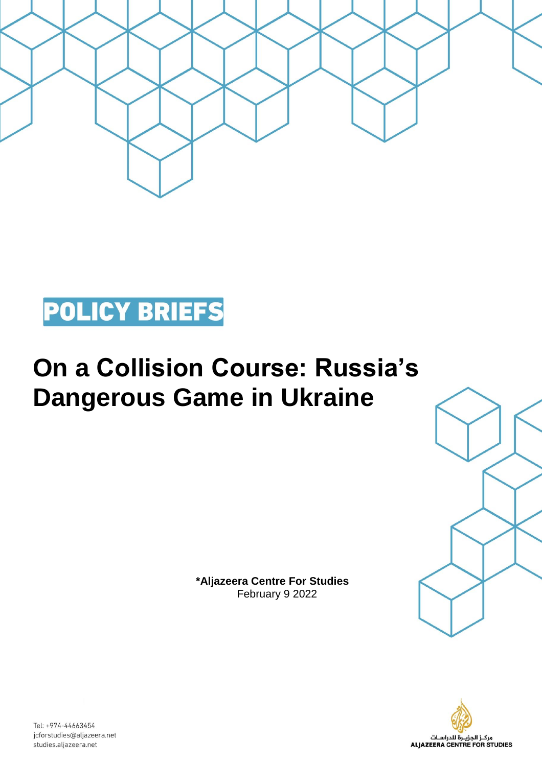



## **On a Collision Course: Russia's Dangerous Game in Ukraine**

**\*Aljazeera Centre For Studies**  February 9 2022





Tel: +974-44663454 jcforstudies@aljazeera.net studies.aljazeera.net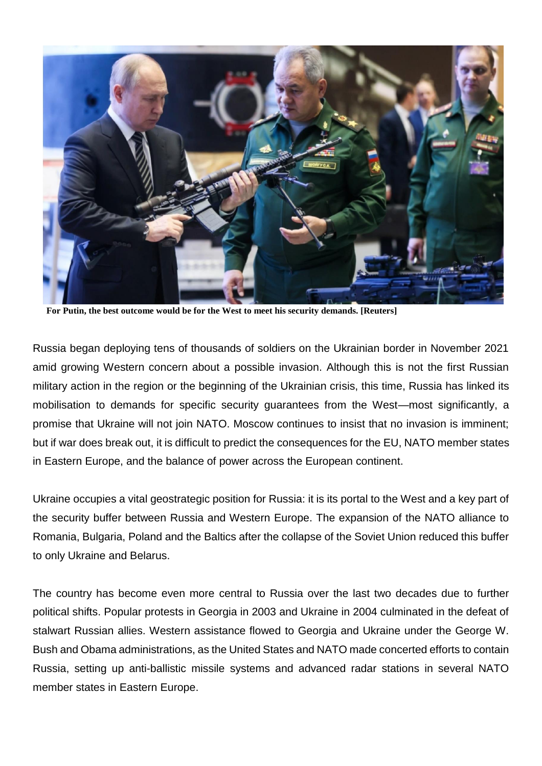

**For Putin, the best outcome would be for the West to meet his security demands. [Reuters]**

Russia began deploying tens of thousands of soldiers on the Ukrainian border in November 2021 amid growing Western concern about a possible invasion. Although this is not the first Russian military action in the region or the beginning of the Ukrainian crisis, this time, Russia has linked its mobilisation to demands for specific security guarantees from the West—most significantly, a promise that Ukraine will not join NATO. Moscow continues to insist that no invasion is imminent; but if war does break out, it is difficult to predict the consequences for the EU, NATO member states in Eastern Europe, and the balance of power across the European continent.

Ukraine occupies a vital geostrategic position for Russia: it is its portal to the West and a key part of the security buffer between Russia and Western Europe. The expansion of the NATO alliance to Romania, Bulgaria, Poland and the Baltics after the collapse of the Soviet Union reduced this buffer to only Ukraine and Belarus.

The country has become even more central to Russia over the last two decades due to further political shifts. Popular protests in Georgia in 2003 and Ukraine in 2004 culminated in the defeat of stalwart Russian allies. Western assistance flowed to Georgia and Ukraine under the George W. Bush and Obama administrations, as the United States and NATO made concerted efforts to contain Russia, setting up anti-ballistic missile systems and advanced radar stations in several NATO member states in Eastern Europe.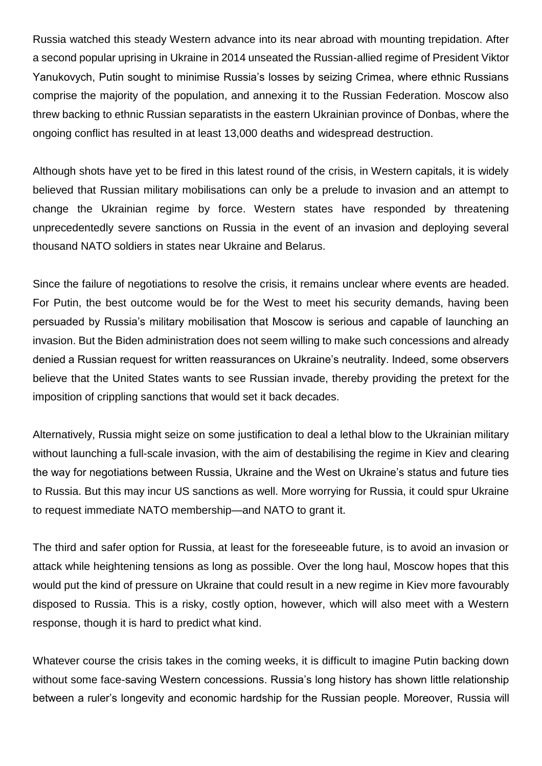Russia watched this steady Western advance into its near abroad with mounting trepidation. After a second popular uprising in Ukraine in 2014 unseated the Russian-allied regime of President Viktor Yanukovych, Putin sought to minimise Russia's losses by seizing Crimea, where ethnic Russians comprise the majority of the population, and annexing it to the Russian Federation. Moscow also threw backing to ethnic Russian separatists in the eastern Ukrainian province of Donbas, where the ongoing conflict has resulted in at least 13,000 deaths and widespread destruction.

Although shots have yet to be fired in this latest round of the crisis, in Western capitals, it is widely believed that Russian military mobilisations can only be a prelude to invasion and an attempt to change the Ukrainian regime by force. Western states have responded by threatening unprecedentedly severe sanctions on Russia in the event of an invasion and deploying several thousand NATO soldiers in states near Ukraine and Belarus.

Since the failure of negotiations to resolve the crisis, it remains unclear where events are headed. For Putin, the best outcome would be for the West to meet his security demands, having been persuaded by Russia's military mobilisation that Moscow is serious and capable of launching an invasion. But the Biden administration does not seem willing to make such concessions and already denied a Russian request for written reassurances on Ukraine's neutrality. Indeed, some observers believe that the United States wants to see Russian invade, thereby providing the pretext for the imposition of crippling sanctions that would set it back decades.

Alternatively, Russia might seize on some justification to deal a lethal blow to the Ukrainian military without launching a full-scale invasion, with the aim of destabilising the regime in Kiev and clearing the way for negotiations between Russia, Ukraine and the West on Ukraine's status and future ties to Russia. But this may incur US sanctions as well. More worrying for Russia, it could spur Ukraine to request immediate NATO membership—and NATO to grant it.

The third and safer option for Russia, at least for the foreseeable future, is to avoid an invasion or attack while heightening tensions as long as possible. Over the long haul, Moscow hopes that this would put the kind of pressure on Ukraine that could result in a new regime in Kiev more favourably disposed to Russia. This is a risky, costly option, however, which will also meet with a Western response, though it is hard to predict what kind.

Whatever course the crisis takes in the coming weeks, it is difficult to imagine Putin backing down without some face-saving Western concessions. Russia's long history has shown little relationship between a ruler's longevity and economic hardship for the Russian people. Moreover, Russia will